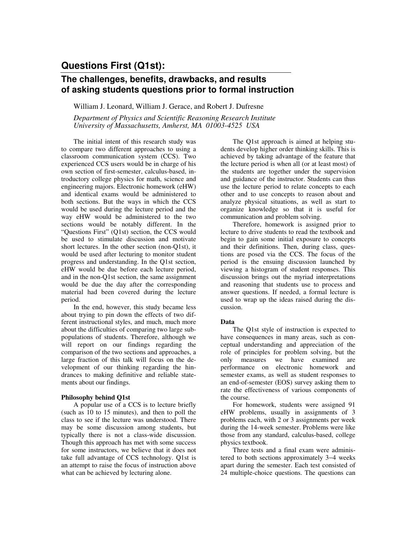# **Questions First (Q1st):**

## **The challenges, benefits, drawbacks, and results of asking students questions prior to formal instruction**

William J. Leonard, William J. Gerace, and Robert J. Dufresne

*Department of Physics and Scientific Reasoning Research Institute University of Massachusetts, Amherst, MA 01003-4525 USA* 

The initial intent of this research study was to compare two different approaches to using a classroom communication system (CCS). Two experienced CCS users would be in charge of his own section of first-semester, calculus-based, introductory college physics for math, science and engineering majors. Electronic homework (eHW) and identical exams would be administered to both sections. But the ways in which the CCS would be used during the lecture period and the way eHW would be administered to the two sections would be notably different. In the "Questions First" (Q1st) section, the CCS would be used to stimulate discussion and motivate short lectures. In the other section (non-Q1st), it would be used after lecturing to monitor student progress and understanding. In the Q1st section, eHW would be due before each lecture period, and in the non-Q1st section, the same assignment would be due the day after the corresponding material had been covered during the lecture period.

In the end, however, this study became less about trying to pin down the effects of two different instructional styles, and much, much more about the difficulties of comparing two large subpopulations of students. Therefore, although we will report on our findings regarding the comparison of the two sections and approaches, a large fraction of this talk will focus on the development of our thinking regarding the hindrances to making definitive and reliable statements about our findings.

#### **Philosophy behind Q1st**

A popular use of a CCS is to lecture briefly (such as 10 to 15 minutes), and then to poll the class to see if the lecture was understood. There may be some discussion among students, but typically there is not a class-wide discussion. Though this approach has met with some success for some instructors, we believe that it does not take full advantage of CCS technology. Q1st is an attempt to raise the focus of instruction above what can be achieved by lecturing alone.

The Q1st approach is aimed at helping students develop higher order thinking skills. This is achieved by taking advantage of the feature that the lecture period is when all (or at least most) of the students are together under the supervision and guidance of the instructor. Students can thus use the lecture period to relate concepts to each other and to use concepts to reason about and analyze physical situations, as well as start to organize knowledge so that it is useful for communication and problem solving.

Therefore, homework is assigned prior to lecture to drive students to read the textbook and begin to gain some initial exposure to concepts and their definitions. Then, during class, questions are posed via the CCS. The focus of the period is the ensuing discussion launched by viewing a histogram of student responses. This discussion brings out the myriad interpretations and reasoning that students use to process and answer questions. If needed, a formal lecture is used to wrap up the ideas raised during the discussion.

#### **Data**

The Q1st style of instruction is expected to have consequences in many areas, such as conceptual understanding and appreciation of the role of principles for problem solving, but the only measures we have examined are performance on electronic homework and semester exams, as well as student responses to an end-of-semester (EOS) survey asking them to rate the effectiveness of various components of the course.

For homework, students were assigned 91 eHW problems, usually in assignments of 3 problems each, with 2 or 3 assignments per week during the 14-week semester. Problems were like those from any standard, calculus-based, college physics textbook.

Three tests and a final exam were administered to both sections approximately 3−4 weeks apart during the semester. Each test consisted of 24 multiple-choice questions. The questions can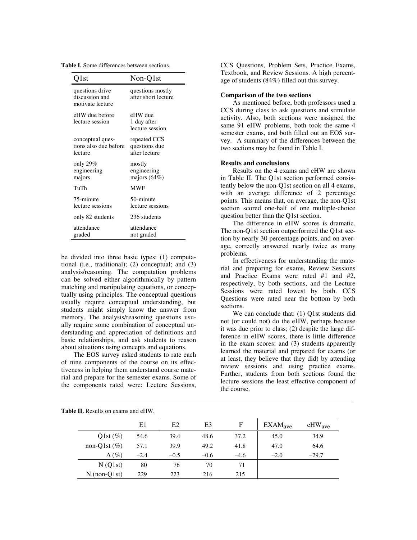| <b>Table I.</b> Some differences between sections. |  |
|----------------------------------------------------|--|
|----------------------------------------------------|--|

| ) l st                                                | Non-Q1st                                       |
|-------------------------------------------------------|------------------------------------------------|
| questions drive<br>discussion and<br>motivate lecture | questions mostly<br>after short lecture        |
| eHW due before<br>lecture session                     | eHW due<br>1 day after<br>lecture session      |
| conceptual ques-<br>tions also due before<br>lecture  | repeated CCS<br>questions due<br>after lecture |
| only 29 $%$<br>engineering<br>majors                  | mostly<br>engineering<br>majors $(64%)$        |
| TuTh                                                  | <b>MWF</b>                                     |
| 75-minute<br>lecture sessions                         | 50-minute<br>lecture sessions                  |
| only 82 students                                      | 236 students                                   |
| attendance<br>graded                                  | attendance<br>not graded                       |

be divided into three basic types: (1) computational (i.e., traditional); (2) conceptual; and (3) analysis/reasoning. The computation problems can be solved either algorithmically by pattern matching and manipulating equations, or conceptually using principles. The conceptual questions usually require conceptual understanding, but students might simply know the answer from memory. The analysis/reasoning questions usually require some combination of conceptual understanding and appreciation of definitions and basic relationships, and ask students to reason about situations using concepts and equations.

The EOS survey asked students to rate each of nine components of the course on its effectiveness in helping them understand course material and prepare for the semester exams. Some of the components rated were: Lecture Sessions,

CCS Questions, Problem Sets, Practice Exams, Textbook, and Review Sessions. A high percentage of students (84%) filled out this survey.

#### **Comparison of the two sections**

As mentioned before, both professors used a CCS during class to ask questions and stimulate activity. Also, both sections were assigned the same 91 eHW problems, both took the same 4 semester exams, and both filled out an EOS survey. A summary of the differences between the two sections may be found in Table I.

#### **Results and conclusions**

Results on the 4 exams and eHW are shown in Table II. The Q1st section performed consistently below the non-Q1st section on all 4 exams, with an average difference of 2 percentage points. This means that, on average, the non-Q1st section scored one-half of one multiple-choice question better than the Q1st section.

The difference in eHW scores is dramatic. The non-Q1st section outperformed the Q1st section by nearly 30 percentage points, and on average, correctly answered nearly twice as many problems.

In effectiveness for understanding the material and preparing for exams, Review Sessions and Practice Exams were rated #1 and #2, respectively, by both sections, and the Lecture Sessions were rated lowest by both. CCS Questions were rated near the bottom by both sections.

We can conclude that: (1) Q1st students did not (or could not) do the eHW, perhaps because it was due prior to class; (2) despite the large difference in eHW scores, there is little difference in the exam scores; and (3) students apparently learned the material and prepared for exams (or at least, they believe that they did) by attending review sessions and using practice exams. Further, students from both sections found the lecture sessions the least effective component of the course.

|                  | E1     | E2     | E3     | F      | EXAMPLEXAM <sub>ave</sub> | $eHW_{ave}$ |
|------------------|--------|--------|--------|--------|---------------------------|-------------|
| Q1st $(\%)$      | 54.6   | 39.4   | 48.6   | 37.2   | 45.0                      | 34.9        |
| non-Q1st $(\% )$ | 57.1   | 39.9   | 49.2   | 41.8   | 47.0                      | 64.6        |
| $\Delta(\%)$     | $-2.4$ | $-0.5$ | $-0.6$ | $-4.6$ | $-2.0$                    | $-29.7$     |
| N(Q1st)          | 80     | 76     | 70     | 71     |                           |             |
| $N$ (non-Q1st)   | 229    | 223    | 216    | 215    |                           |             |

**Table II.** Results on exams and eHW.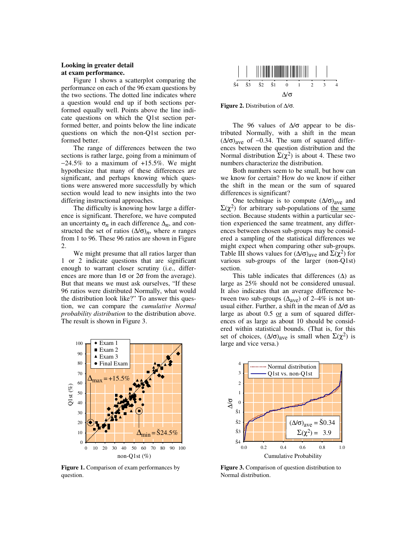### **Looking in greater detail at exam performance.**

Figure 1 shows a scatterplot comparing the performance on each of the 96 exam questions by the two sections. The dotted line indicates where a question would end up if both sections performed equally well. Points above the line indicate questions on which the Q1st section performed better, and points below the line indicate questions on which the non-Q1st section performed better.

The range of differences between the two sections is rather large, going from a minimum of −24.5% to a maximum of +15.5%. We might hypothesize that many of these differences are significant, and perhaps knowing which questions were answered more successfully by which section would lead to new insights into the two differing instructional approaches.

The difficulty is knowing how large a difference is significant. Therefore, we have computed an uncertainty  $\sigma_n$  in each difference  $\Delta_n$ , and constructed the set of ratios  $(\Delta/\sigma)_n$ , where *n* ranges from 1 to 96. These 96 ratios are shown in Figure 2.

We might presume that all ratios larger than 1 or 2 indicate questions that are significant enough to warrant closer scrutiny (i.e., differences are more than  $1\sigma$  or  $2\sigma$  from the average). But that means we must ask ourselves, "If these 96 ratios were distributed Normally, what would the distribution look like?" To answer this question, we can compare the *cumulative Normal probability distribution* to the distribution above. The result is shown in Figure 3.



**Figure 1.** Comparison of exam performances by question.



**Figure 2.** Distribution of ∆/σ.

The 96 values of  $\Delta/\sigma$  appear to be distributed Normally, with a shift in the mean  $(\Delta/\sigma)_{\text{ave}}$  of -0.34. The sum of squared differences between the question distribution and the Normal distribution  $\Sigma(\chi^2)$  is about 4. These two numbers characterize the distribution.

Both numbers seem to be small, but how can we know for certain? How do we know if either the shift in the mean or the sum of squared differences is significant?

One technique is to compute  $(\Delta/\sigma)_{\text{ave}}$  and  $\Sigma(\chi^2)$  for arbitrary sub-populations of the same section. Because students within a particular section experienced the same treatment, any differences between chosen sub-groups may be considered a sampling of the statistical differences we might expect when comparing other sub-groups. Table III shows values for  $(\Delta/\sigma)_{\text{ave}}$  and  $\Sigma(\chi^2)$  for various sub-groups of the larger (non-Q1st) section.

This table indicates that differences  $(∆)$  as large as 25% should not be considered unusual. It also indicates that an average difference between two sub-groups ( $\Delta_{ave}$ ) of 2–4% is not unusual either. Further, a shift in the mean of  $\Delta/\sigma$  as large as about  $0.5$  or a sum of squared differences of as large as about 10 should be considered within statistical bounds. (That is, for this set of choices,  $(\Delta/\sigma)_{\text{ave}}$  is small when  $\Sigma(\chi^2)$  is large and vice versa.)



**Figure 3.** Comparison of question distribution to Normal distribution.